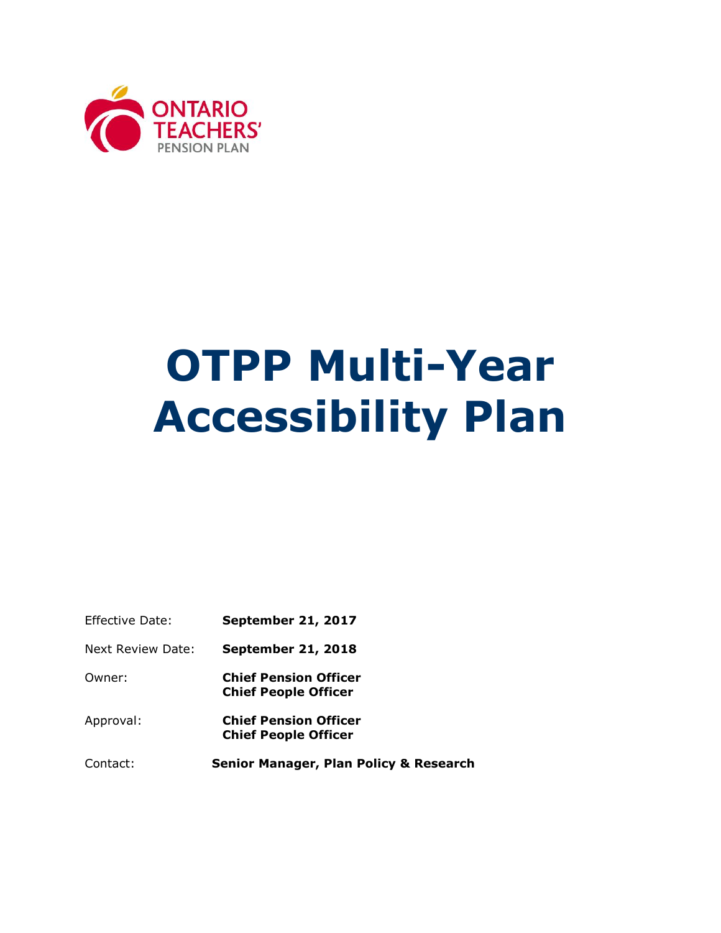

# **OTPP Multi-Year Accessibility Plan**

| Effective Date:   | <b>September 21, 2017</b>                                   |
|-------------------|-------------------------------------------------------------|
| Next Review Date: | <b>September 21, 2018</b>                                   |
| Owner:            | <b>Chief Pension Officer</b><br><b>Chief People Officer</b> |

Approval: **Chief Pension Officer Chief People Officer** 

Contact: **Senior Manager, Plan Policy & Research**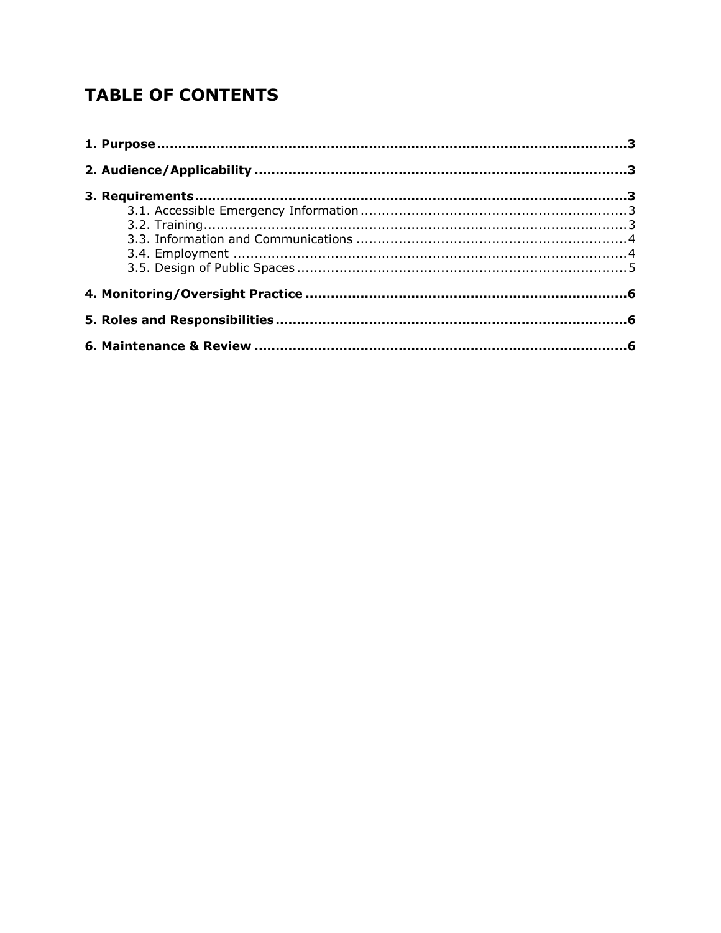# **TABLE OF CONTENTS**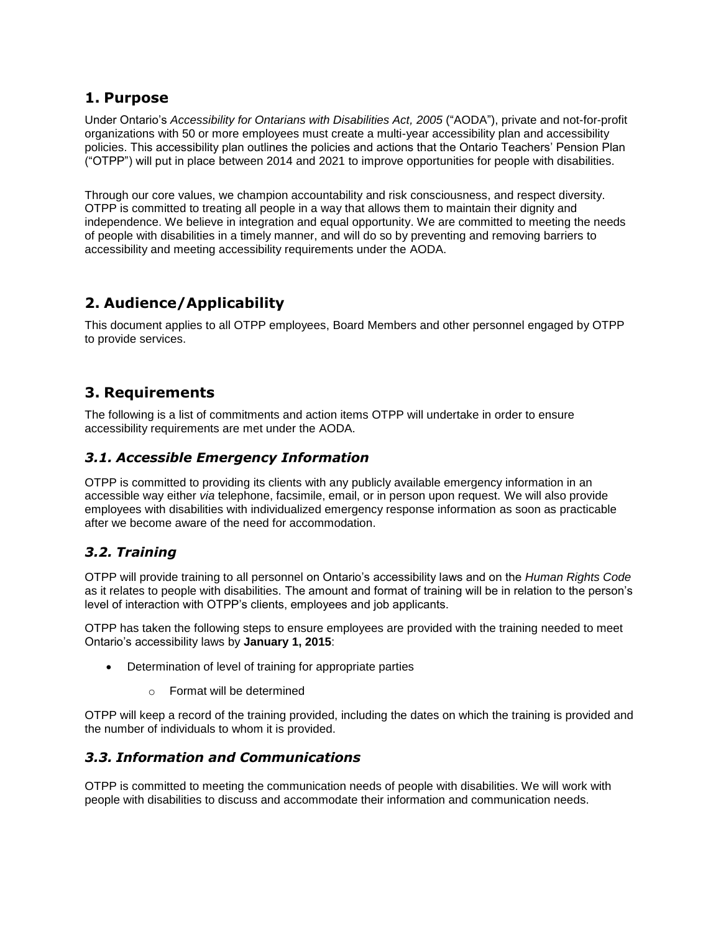## <span id="page-2-0"></span>**1. Purpose**

Under Ontario's *Accessibility for Ontarians with Disabilities Act, 2005* ("AODA"), private and not-for-profit organizations with 50 or more employees must create a multi-year accessibility plan and accessibility policies. This accessibility plan outlines the policies and actions that the Ontario Teachers' Pension Plan ("OTPP") will put in place between 2014 and 2021 to improve opportunities for people with disabilities.

Through our core values, we champion accountability and risk consciousness, and respect diversity. OTPP is committed to treating all people in a way that allows them to maintain their dignity and independence. We believe in integration and equal opportunity. We are committed to meeting the needs of people with disabilities in a timely manner, and will do so by preventing and removing barriers to accessibility and meeting accessibility requirements under the AODA.

# <span id="page-2-1"></span>**2. Audience/Applicability**

This document applies to all OTPP employees, Board Members and other personnel engaged by OTPP to provide services.

## <span id="page-2-2"></span>**3. Requirements**

The following is a list of commitments and action items OTPP will undertake in order to ensure accessibility requirements are met under the AODA.

#### <span id="page-2-3"></span>*3.1. Accessible Emergency Information*

OTPP is committed to providing its clients with any publicly available emergency information in an accessible way either *via* telephone, facsimile, email, or in person upon request. We will also provide employees with disabilities with individualized emergency response information as soon as practicable after we become aware of the need for accommodation.

#### <span id="page-2-4"></span>*3.2. Training*

OTPP will provide training to all personnel on Ontario's accessibility laws and on the *Human Rights Code* as it relates to people with disabilities. The amount and format of training will be in relation to the person's level of interaction with OTPP's clients, employees and job applicants.

OTPP has taken the following steps to ensure employees are provided with the training needed to meet Ontario's accessibility laws by **January 1, 2015**:

- Determination of level of training for appropriate parties
	- o Format will be determined

OTPP will keep a record of the training provided, including the dates on which the training is provided and the number of individuals to whom it is provided.

#### <span id="page-2-5"></span>*3.3. Information and Communications*

OTPP is committed to meeting the communication needs of people with disabilities. We will work with people with disabilities to discuss and accommodate their information and communication needs.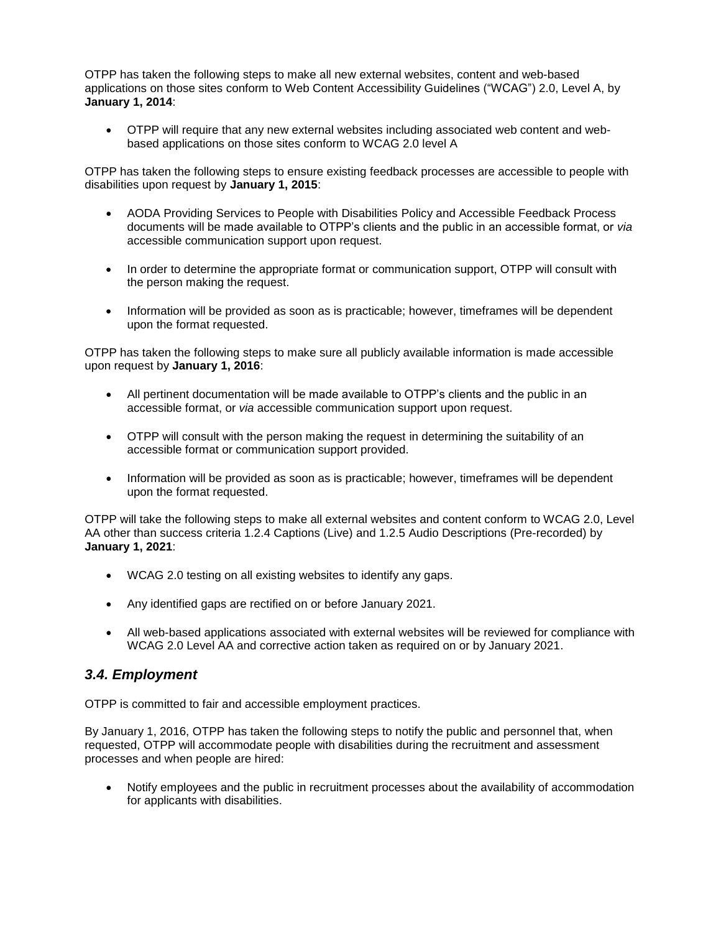OTPP has taken the following steps to make all new external websites, content and web-based applications on those sites conform to Web Content Accessibility Guidelines ("WCAG") 2.0, Level A, by **January 1, 2014**:

 OTPP will require that any new external websites including associated web content and webbased applications on those sites conform to WCAG 2.0 level A

OTPP has taken the following steps to ensure existing feedback processes are accessible to people with disabilities upon request by **January 1, 2015**:

- AODA Providing Services to People with Disabilities Policy and Accessible Feedback Process documents will be made available to OTPP's clients and the public in an accessible format, or *via* accessible communication support upon request.
- In order to determine the appropriate format or communication support, OTPP will consult with the person making the request.
- Information will be provided as soon as is practicable; however, timeframes will be dependent upon the format requested.

OTPP has taken the following steps to make sure all publicly available information is made accessible upon request by **January 1, 2016**:

- All pertinent documentation will be made available to OTPP's clients and the public in an accessible format, or *via* accessible communication support upon request.
- OTPP will consult with the person making the request in determining the suitability of an accessible format or communication support provided.
- Information will be provided as soon as is practicable; however, timeframes will be dependent upon the format requested.

OTPP will take the following steps to make all external websites and content conform to WCAG 2.0, Level AA other than success criteria 1.2.4 Captions (Live) and 1.2.5 Audio Descriptions (Pre-recorded) by **January 1, 2021**:

- WCAG 2.0 testing on all existing websites to identify any gaps.
- Any identified gaps are rectified on or before January 2021.
- All web-based applications associated with external websites will be reviewed for compliance with WCAG 2.0 Level AA and corrective action taken as required on or by January 2021.

#### <span id="page-3-0"></span>*3.4. Employment*

OTPP is committed to fair and accessible employment practices.

By January 1, 2016, OTPP has taken the following steps to notify the public and personnel that, when requested, OTPP will accommodate people with disabilities during the recruitment and assessment processes and when people are hired:

 Notify employees and the public in recruitment processes about the availability of accommodation for applicants with disabilities.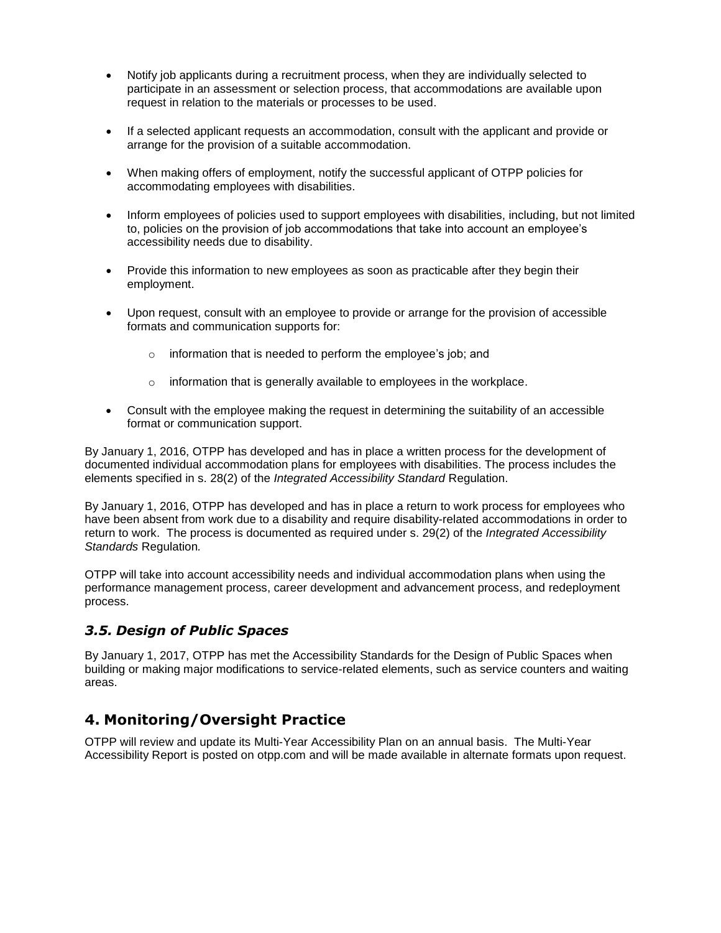- Notify job applicants during a recruitment process, when they are individually selected to participate in an assessment or selection process, that accommodations are available upon request in relation to the materials or processes to be used.
- If a selected applicant requests an accommodation, consult with the applicant and provide or arrange for the provision of a suitable accommodation.
- When making offers of employment, notify the successful applicant of OTPP policies for accommodating employees with disabilities.
- Inform employees of policies used to support employees with disabilities, including, but not limited to, policies on the provision of job accommodations that take into account an employee's accessibility needs due to disability.
- Provide this information to new employees as soon as practicable after they begin their employment.
- Upon request, consult with an employee to provide or arrange for the provision of accessible formats and communication supports for:
	- o information that is needed to perform the employee's job; and
	- o information that is generally available to employees in the workplace.
- Consult with the employee making the request in determining the suitability of an accessible format or communication support.

By January 1, 2016, OTPP has developed and has in place a written process for the development of documented individual accommodation plans for employees with disabilities. The process includes the elements specified in s. 28(2) of the *Integrated Accessibility Standard* Regulation.

By January 1, 2016, OTPP has developed and has in place a return to work process for employees who have been absent from work due to a disability and require disability-related accommodations in order to return to work. The process is documented as required under s. 29(2) of the *Integrated Accessibility Standards* Regulation*.* 

OTPP will take into account accessibility needs and individual accommodation plans when using the performance management process, career development and advancement process, and redeployment process.

#### <span id="page-4-0"></span>*3.5. Design of Public Spaces*

By January 1, 2017, OTPP has met the Accessibility Standards for the Design of Public Spaces when building or making major modifications to service-related elements, such as service counters and waiting areas.

# <span id="page-4-1"></span>**4. Monitoring/Oversight Practice**

OTPP will review and update its Multi-Year Accessibility Plan on an annual basis. The Multi-Year Accessibility Report is posted on otpp.com and will be made available in alternate formats upon request.